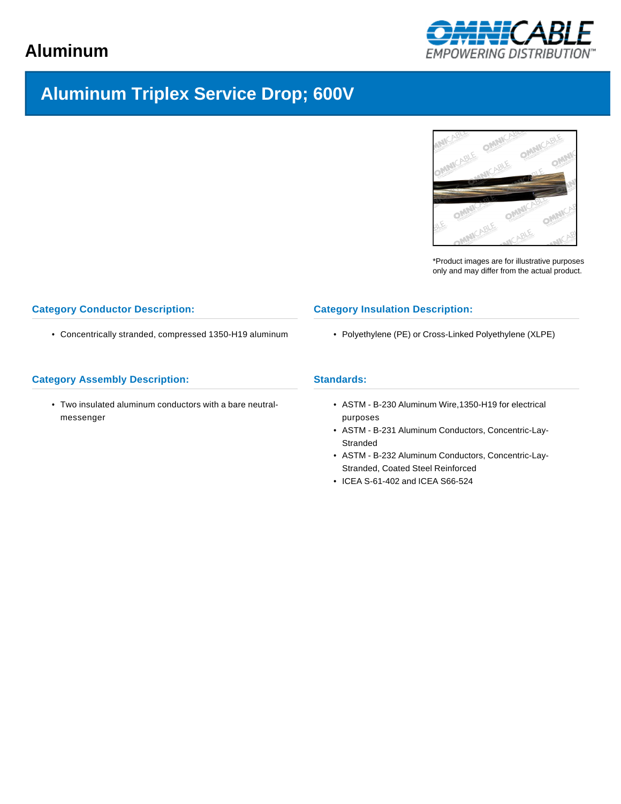# **Aluminum**



# **Aluminum Triplex Service Drop; 600V**



\*Product images are for illustrative purposes only and may differ from the actual product.

### **Category Conductor Description:**

• Concentrically stranded, compressed 1350-H19 aluminum

### **Category Assembly Description:**

• Two insulated aluminum conductors with a bare neutralmessenger

#### **Category Insulation Description:**

• Polyethylene (PE) or Cross-Linked Polyethylene (XLPE)

### **Standards:**

- ASTM B-230 Aluminum Wire,1350-H19 for electrical purposes
- ASTM B-231 Aluminum Conductors, Concentric-Lay-**Stranded**
- ASTM B-232 Aluminum Conductors, Concentric-Lay-Stranded, Coated Steel Reinforced
- ICEA S-61-402 and ICEA S66-524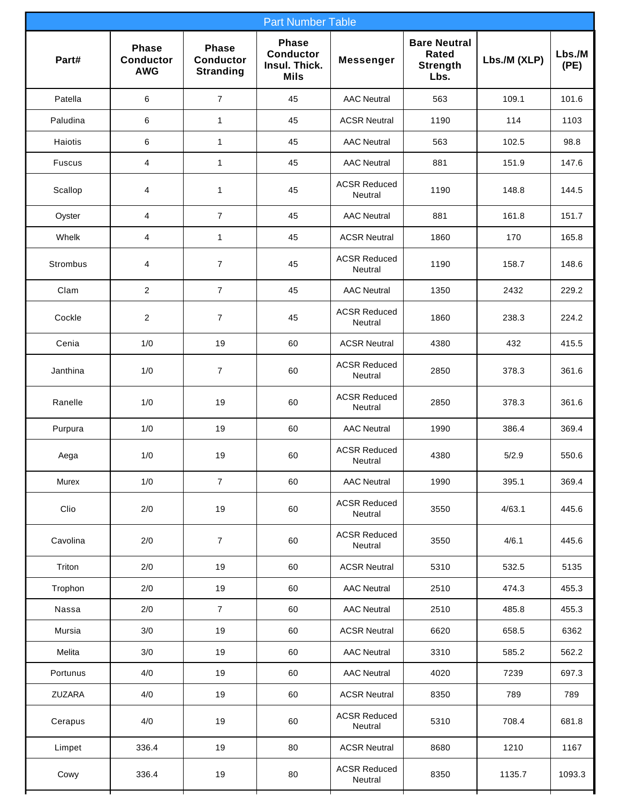| <b>Part Number Table</b> |                                                |                                                      |                                                                  |                                |                                                         |              |                |  |  |  |  |  |
|--------------------------|------------------------------------------------|------------------------------------------------------|------------------------------------------------------------------|--------------------------------|---------------------------------------------------------|--------------|----------------|--|--|--|--|--|
| Part#                    | <b>Phase</b><br><b>Conductor</b><br><b>AWG</b> | <b>Phase</b><br><b>Conductor</b><br><b>Stranding</b> | <b>Phase</b><br><b>Conductor</b><br>Insul. Thick.<br><b>Mils</b> | <b>Messenger</b>               | <b>Bare Neutral</b><br>Rated<br><b>Strength</b><br>Lbs. | Lbs./M (XLP) | Lbs./M<br>(PE) |  |  |  |  |  |
| Patella                  | 6                                              | $\overline{7}$                                       | 45                                                               | <b>AAC Neutral</b>             | 563                                                     | 109.1        | 101.6          |  |  |  |  |  |
| Paludina                 | 6                                              | $\mathbf{1}$                                         | 45                                                               | <b>ACSR Neutral</b>            | 1190                                                    | 114          | 1103           |  |  |  |  |  |
| Haiotis                  | 6                                              | $\mathbf{1}$                                         | 45                                                               | <b>AAC Neutral</b>             | 563                                                     | 102.5        | 98.8           |  |  |  |  |  |
| Fuscus                   | 4                                              | $\mathbf{1}$                                         | 45                                                               | <b>AAC Neutral</b>             | 881                                                     | 151.9        | 147.6          |  |  |  |  |  |
| Scallop                  | 4                                              | $\mathbf 1$                                          | 45                                                               | <b>ACSR Reduced</b><br>Neutral | 1190                                                    | 148.8        | 144.5          |  |  |  |  |  |
| Oyster                   | 4                                              | $\overline{7}$                                       | 45                                                               | <b>AAC Neutral</b>             | 881                                                     | 161.8        | 151.7          |  |  |  |  |  |
| Whelk                    | 4                                              | 1                                                    | 45                                                               | <b>ACSR Neutral</b>            | 1860                                                    | 170          | 165.8          |  |  |  |  |  |
| Strombus                 | 4                                              | $\overline{7}$                                       | 45                                                               | <b>ACSR Reduced</b><br>Neutral | 1190                                                    | 158.7        | 148.6          |  |  |  |  |  |
| Clam                     | $\overline{2}$                                 | $\overline{7}$                                       | 45                                                               | <b>AAC Neutral</b>             | 1350                                                    | 2432         | 229.2          |  |  |  |  |  |
| Cockle                   | 2                                              | $\overline{7}$                                       | 45                                                               | <b>ACSR Reduced</b><br>Neutral | 1860                                                    | 238.3        | 224.2          |  |  |  |  |  |
| Cenia                    | 1/0                                            | 19                                                   | 60                                                               | <b>ACSR Neutral</b>            | 4380                                                    | 432          | 415.5          |  |  |  |  |  |
| Janthina                 | 1/0                                            | $\overline{7}$                                       | 60                                                               | <b>ACSR Reduced</b><br>Neutral | 2850                                                    | 378.3        | 361.6          |  |  |  |  |  |
| Ranelle                  | 1/0                                            | 19                                                   | 60                                                               | <b>ACSR Reduced</b><br>Neutral | 2850                                                    | 378.3        | 361.6          |  |  |  |  |  |
| Purpura                  | 1/0                                            | 19                                                   | 60                                                               | <b>AAC Neutral</b>             | 1990                                                    | 386.4        | 369.4          |  |  |  |  |  |
| Aega                     | 1/0                                            | 19                                                   | 60                                                               | <b>ACSR Reduced</b><br>Neutral | 4380                                                    | 5/2.9        | 550.6          |  |  |  |  |  |
| Murex                    | 1/0                                            | $\overline{7}$                                       | 60                                                               | <b>AAC Neutral</b>             | 1990                                                    | 395.1        | 369.4          |  |  |  |  |  |
| Clio                     | 2/0                                            | 19                                                   | 60                                                               | <b>ACSR Reduced</b><br>Neutral | 3550                                                    | 4/63.1       | 445.6          |  |  |  |  |  |
| Cavolina                 | 2/0                                            | $\overline{7}$                                       | 60                                                               | <b>ACSR Reduced</b><br>Neutral | 3550                                                    | 4/6.1        | 445.6          |  |  |  |  |  |
| Triton                   | 2/0                                            | 19                                                   | 60                                                               | <b>ACSR Neutral</b>            | 5310                                                    | 532.5        | 5135           |  |  |  |  |  |
| Trophon                  | 2/0                                            | 19                                                   | 60                                                               | <b>AAC Neutral</b>             | 2510                                                    | 474.3        | 455.3          |  |  |  |  |  |
| Nassa                    | 2/0                                            | $\overline{7}$                                       | 60                                                               | <b>AAC Neutral</b>             | 2510                                                    | 485.8        | 455.3          |  |  |  |  |  |
| Mursia                   | 3/0                                            | $19$                                                 | 60                                                               | <b>ACSR Neutral</b>            | 6620                                                    | 658.5        | 6362           |  |  |  |  |  |
| Melita                   | 3/0                                            | 19                                                   | 60                                                               | <b>AAC Neutral</b>             | 3310                                                    | 585.2        | 562.2          |  |  |  |  |  |
| Portunus                 | 4/0                                            | 19                                                   | 60                                                               | <b>AAC Neutral</b>             | 4020                                                    | 7239         | 697.3          |  |  |  |  |  |
| ZUZARA                   | 4/0                                            | 19                                                   | 60                                                               | <b>ACSR Neutral</b>            | 8350                                                    | 789          | 789            |  |  |  |  |  |
| Cerapus                  | 4/0                                            | 19                                                   | 60                                                               | <b>ACSR Reduced</b><br>Neutral | 5310                                                    | 708.4        | 681.8          |  |  |  |  |  |
| Limpet                   | 336.4                                          | 19                                                   | 80                                                               | <b>ACSR Neutral</b>            | 8680                                                    | 1210         | 1167           |  |  |  |  |  |
| Cowy                     | 336.4                                          | 19                                                   | 80                                                               | <b>ACSR Reduced</b><br>Neutral | 8350                                                    | 1135.7       | 1093.3         |  |  |  |  |  |